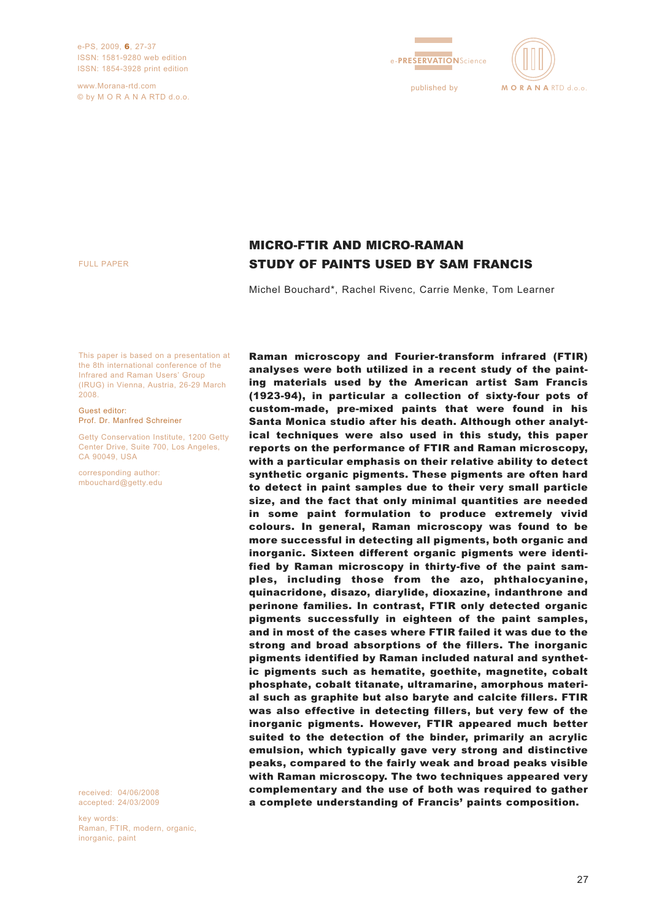e-PS, 2009, 6, 27-37 ISSN: 1581-9280 web edition ISSN: 1854-3928 print edition

www.Morana-rtd.com © by M O R A N A RTD d.o.o.





FULL PAPER

# MICRO-FTIR AND MICRO-RAMAN STUDY OF PAINTS USED BY SAM FRANCIS

Michel Bouchard\*, Rachel Rivenc, Carrie Menke, Tom Learner

This paper is based on a presentation at the 8th international conference of the Infrared and Raman Users' Group (IRUG) in Vienna, Austria, 26-29 March 2008.

Guest editor: Prof. Dr. Manfred Schreiner

Getty Conservation Institute, 1200 Getty Center Drive, Suite 700, Los Angeles, CA 90049, USA

corresponding author: mbouchard@getty.edu

received: 04/06/2008 accepted: 24/03/2009

key words: Raman, FTIR, modern, organic, inorganic, paint

Raman microscopy and Fourier-transform infrared (FTIR) analyses were both utilized in a recent study of the painting materials used by the American artist Sam Francis (1923-94), in particular a collection of sixty-four pots of custom-made, pre-mixed paints that were found in his Santa Monica studio after his death. Although other analytical techniques were also used in this study, this paper reports on the performance of FTIR and Raman microscopy, with a particular emphasis on their relative ability to detect synthetic organic pigments. These pigments are often hard to detect in paint samples due to their very small particle size, and the fact that only minimal quantities are needed in some paint formulation to produce extremely vivid colours. In general, Raman microscopy was found to be more successful in detecting all pigments, both organic and inorganic. Sixteen different organic pigments were identified by Raman microscopy in thirty-five of the paint samples, including those from the azo, phthalocyanine, quinacridone, disazo, diarylide, dioxazine, indanthrone and perinone families. In contrast, FTIR only detected organic pigments successfully in eighteen of the paint samples, and in most of the cases where FTIR failed it was due to the strong and broad absorptions of the fillers. The inorganic pigments identified by Raman included natural and synthetic pigments such as hematite, goethite, magnetite, cobalt phosphate, cobalt titanate, ultramarine, amorphous material such as graphite but also baryte and calcite fillers. FTIR was also effective in detecting fillers, but very few of the inorganic pigments. However, FTIR appeared much better suited to the detection of the binder, primarily an acrylic emulsion, which typically gave very strong and distinctive peaks, compared to the fairly weak and broad peaks visible with Raman microscopy. The two techniques appeared very complementary and the use of both was required to gather a complete understanding of Francis' paints composition.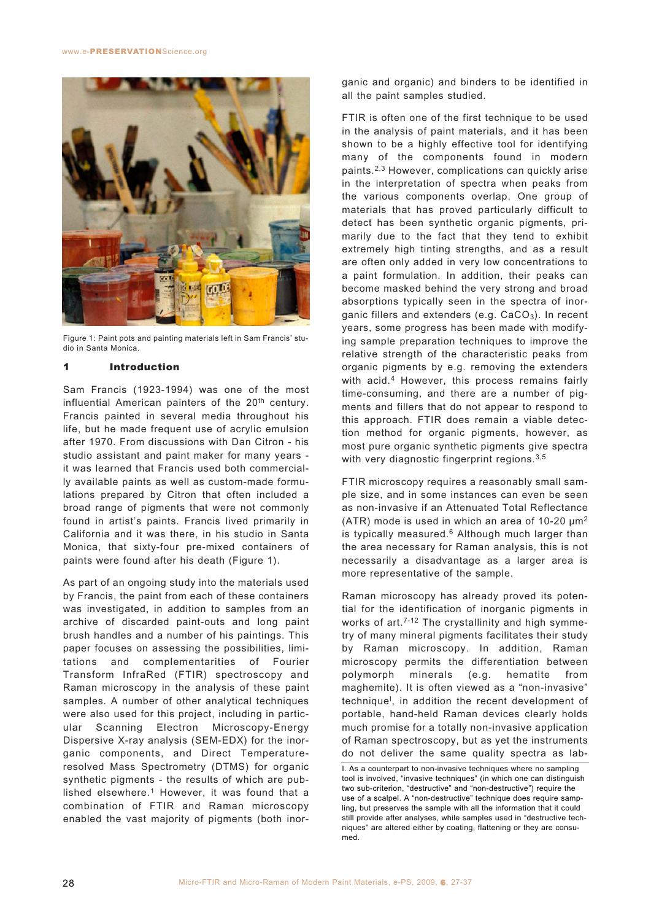

Figure 1: Paint pots and painting materials left in Sam Francis' studio in Santa Monica.

#### 1 Introduction

Sam Francis (1923-1994) was one of the most influential American painters of the 20th century. Francis painted in several media throughout his life, but he made frequent use of acrylic emulsion after 1970. From discussions with Dan Citron - his studio assistant and paint maker for many years it was learned that Francis used both commercially available paints as well as custom-made formulations prepared by Citron that often included a broad range of pigments that were not commonly found in artist's paints. Francis lived primarily in California and it was there, in his studio in Santa Monica, that sixty-four pre-mixed containers of paints were found after his death (Figure 1).

As part of an ongoing study into the materials used by Francis, the paint from each of these containers was investigated, in addition to samples from an archive of discarded paint-outs and long paint brush handles and a number of his paintings. This paper focuses on assessing the possibilities, limitations and complementarities of Fourier Transform InfraRed (FTIR) spectroscopy and Raman microscopy in the analysis of these paint samples. A number of other analytical techniques were also used for this project, including in particular Scanning Electron Microscopy-Energy Dispersive X-ray analysis (SEM-EDX) for the inorganic components, and Direct Temperatureresolved Mass Spectrometry (DTMS) for organic synthetic pigments - the results of which are published elsewhere.<sup>1</sup> However, it was found that a combination of FTIR and Raman microscopy enabled the vast majority of pigments (both inorganic and organic) and binders to be identified in all the paint samples studied.

FTIR is often one of the first technique to be used in the analysis of paint materials, and it has been shown to be a highly effective tool for identifying many of the components found in modern paints.2,3 However, complications can quickly arise in the interpretation of spectra when peaks from the various components overlap. One group of materials that has proved particularly difficult to detect has been synthetic organic pigments, primarily due to the fact that they tend to exhibit extremely high tinting strengths, and as a result are often only added in very low concentrations to a paint formulation. In addition, their peaks can become masked behind the very strong and broad absorptions typically seen in the spectra of inorganic fillers and extenders (e.g.  $CaCO<sub>3</sub>$ ). In recent years, some progress has been made with modifying sample preparation techniques to improve the relative strength of the characteristic peaks from organic pigments by e.g. removing the extenders with acid.<sup>4</sup> However, this process remains fairly time-consuming, and there are a number of pigments and fillers that do not appear to respond to this approach. FTIR does remain a viable detection method for organic pigments, however, as most pure organic synthetic pigments give spectra with very diagnostic fingerprint regions.<sup>3,5</sup>

FTIR microscopy requires a reasonably small sample size, and in some instances can even be seen as non-invasive if an Attenuated Total Reflectance (ATR) mode is used in which an area of 10-20  $\mu$ m<sup>2</sup> is typically measured. $6$  Although much larger than the area necessary for Raman analysis, this is not necessarily a disadvantage as a larger area is more representative of the sample.

Raman microscopy has already proved its potential for the identification of inorganic pigments in works of art.<sup>7-12</sup> The crystallinity and high symmetry of many mineral pigments facilitates their study by Raman microscopy. In addition, Raman microscopy permits the differentiation between polymorph minerals (e.g. hematite from maghemite). It is often viewed as a "non-invasive" technique<sup>l</sup>, in addition the recent development of portable, hand-held Raman devices clearly holds much promise for a totally non-invasive application of Raman spectroscopy, but as yet the instruments do not deliver the same quality spectra as lab-

I. As a counterpart to non-invasive techniques where no sampling tool is involved, "invasive techniques" (in which one can distinguish two sub-criterion, "destructive" and "non-destructive") require the use of a scalpel. A "non-destructive" technique does require sampling, but preserves the sample with all the information that it could still provide after analyses, while samples used in "destructive techniques" are altered either by coating, flattening or they are consumed.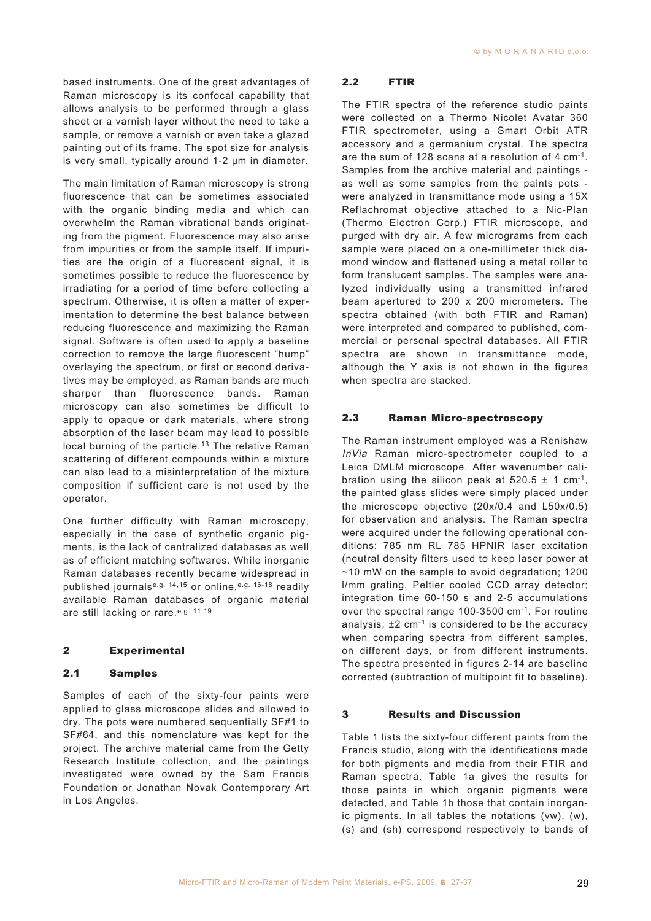based instruments. One of the great advantages of Raman microscopy is its confocal capability that allows analysis to be performed through a glass sheet or a varnish layer without the need to take a sample, or remove a varnish or even take a glazed painting out of its frame. The spot size for analysis is very small, typically around 1-2 μm in diameter.

The main limitation of Raman microscopy is strong fluorescence that can be sometimes associated with the organic binding media and which can overwhelm the Raman vibrational bands originating from the pigment. Fluorescence may also arise from impurities or from the sample itself. If impurities are the origin of a fluorescent signal, it is sometimes possible to reduce the fluorescence by irradiating for a period of time before collecting a spectrum. Otherwise, it is often a matter of experimentation to determine the best balance between reducing fluorescence and maximizing the Raman signal. Software is often used to apply a baseline correction to remove the large fluorescent "hump" overlaying the spectrum, or first or second derivatives may be employed, as Raman bands are much sharper than fluorescence bands. Raman microscopy can also sometimes be difficult to apply to opaque or dark materials, where strong absorption of the laser beam may lead to possible local burning of the particle.<sup>13</sup> The relative Raman scattering of different compounds within a mixture can also lead to a misinterpretation of the mixture composition if sufficient care is not used by the operator.

One further difficulty with Raman microscopy, especially in the case of synthetic organic pigments, is the lack of centralized databases as well as of efficient matching softwares. While inorganic Raman databases recently became widespread in published journalse.g. 14,15 or online, e.g. 16-18 readily available Raman databases of organic material are still lacking or rare. e.g. 11,19

# 2 Experimental

#### 2.1 Samples

Samples of each of the sixty-four paints were applied to glass microscope slides and allowed to dry. The pots were numbered sequentially SF#1 to SF#64, and this nomenclature was kept for the project. The archive material came from the Getty Research Institute collection, and the paintings investigated were owned by the Sam Francis Foundation or Jonathan Novak Contemporary Art in Los Angeles.

# 2.2 FTIR

The FTIR spectra of the reference studio paints were collected on a Thermo Nicolet Avatar 360 FTIR spectrometer, using a Smart Orbit ATR accessory and a germanium crystal. The spectra are the sum of 128 scans at a resolution of 4 cm-1. Samples from the archive material and paintings as well as some samples from the paints pots were analyzed in transmittance mode using a 15X Reflachromat objective attached to a Nic-Plan (Thermo Electron Corp.) FTIR microscope, and purged with dry air. A few micrograms from each sample were placed on a one-millimeter thick diamond window and flattened using a metal roller to form translucent samples. The samples were analyzed individually using a transmitted infrared beam apertured to 200 x 200 micrometers. The spectra obtained (with both FTIR and Raman) were interpreted and compared to published, commercial or personal spectral databases. All FTIR spectra are shown in transmittance mode, although the Y axis is not shown in the figures when spectra are stacked.

#### 2.3 Raman Micro-spectroscopy

The Raman instrument employed was a Renishaw InVia Raman micro-spectrometer coupled to a Leica DMLM microscope. After wavenumber calibration using the silicon peak at  $520.5 \pm 1$  cm<sup>-1</sup>, the painted glass slides were simply placed under the microscope objective (20x/0.4 and L50x/0.5) for observation and analysis. The Raman spectra were acquired under the following operational conditions: 785 nm RL 785 HPNIR laser excitation (neutral density filters used to keep laser power at ~10 mW on the sample to avoid degradation; 1200 l/mm grating, Peltier cooled CCD array detector; integration time 60-150 s and 2-5 accumulations over the spectral range 100-3500 cm-1. For routine analysis,  $\pm 2$  cm<sup>-1</sup> is considered to be the accuracy when comparing spectra from different samples, on different days, or from different instruments. The spectra presented in figures 2-14 are baseline corrected (subtraction of multipoint fit to baseline).

#### 3 Results and Discussion

Table 1 lists the sixty-four different paints from the Francis studio, along with the identifications made for both pigments and media from their FTIR and Raman spectra. Table 1a gives the results for those paints in which organic pigments were detected, and Table 1b those that contain inorganic pigments. In all tables the notations (vw), (w), (s) and (sh) correspond respectively to bands of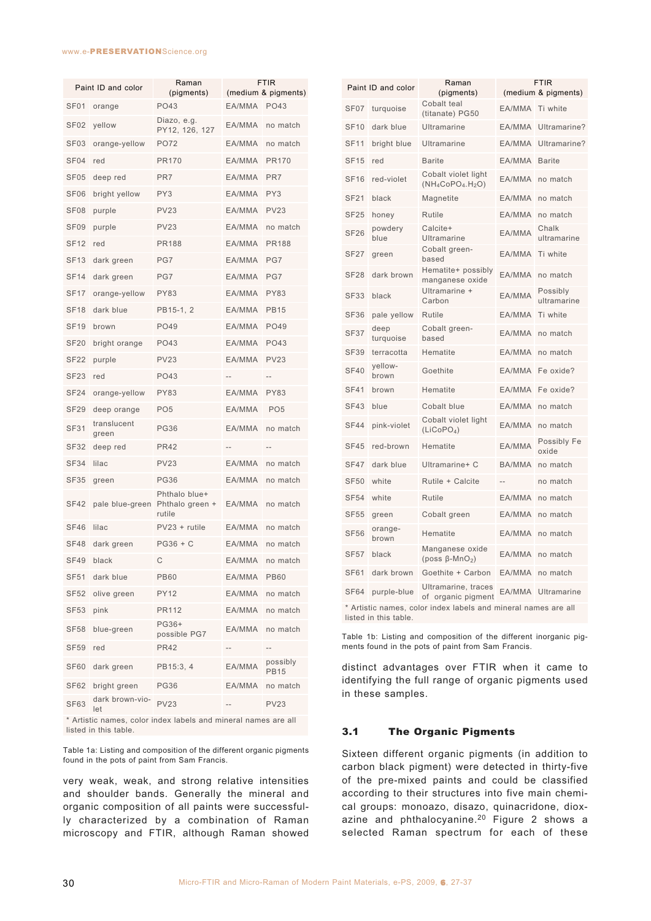#### www.e-PRESERVATIONScience.org

| Paint ID and color |                        | Raman<br>(pigments)                        | <b>FTIR</b><br>(medium & pigments) |                         |
|--------------------|------------------------|--------------------------------------------|------------------------------------|-------------------------|
| <b>SF01</b>        | orange                 | PO43                                       | EA/MMA PO43                        |                         |
| SF <sub>02</sub>   | yellow                 | Diazo, e.g.<br>PY12, 126, 127              | EA/MMA                             | no match                |
| SF <sub>03</sub>   | orange-yellow          | PO72                                       | EA/MMA                             | no match                |
| SF <sub>04</sub>   | red                    | <b>PR170</b>                               | EA/MMA                             | <b>PR170</b>            |
| SF05               | deep red               | PR7                                        | EA/MMA                             | PR7                     |
| SF <sub>06</sub>   | bright yellow          | PY3                                        | EA/MMA                             | PY3                     |
| SF <sub>08</sub>   | purple                 | <b>PV23</b>                                | EA/MMA                             | <b>PV23</b>             |
| SF09               | purple                 | <b>PV23</b>                                | EA/MMA                             | no match                |
| <b>SF12</b>        | red                    | <b>PR188</b>                               | EA/MMA                             | <b>PR188</b>            |
| <b>SF13</b>        | dark green             | PG7                                        | EA/MMA                             | PG7                     |
| <b>SF14</b>        | dark green             | PG7                                        | EA/MMA                             | PG7                     |
| SF17               | orange-yellow          | <b>PY83</b>                                | EA/MMA                             | PY83                    |
| <b>SF18</b>        | dark blue              | PB15-1, 2                                  | EA/MMA                             | <b>PB15</b>             |
| <b>SF19</b>        | brown                  | PO49                                       | EA/MMA                             | PO49                    |
| <b>SF20</b>        | bright orange          | PO43                                       | EA/MMA                             | PO43                    |
| <b>SF22</b>        | purple                 | <b>PV23</b>                                | EA/MMA                             | <b>PV23</b>             |
| <b>SF23</b>        | red                    | <b>PO43</b>                                | --                                 |                         |
| <b>SF24</b>        | orange-yellow          | <b>PY83</b>                                | EA/MMA                             | <b>PY83</b>             |
| <b>SF29</b>        | deep orange            | PO <sub>5</sub>                            | EA/MMA                             | PO <sub>5</sub>         |
| <b>SF31</b>        | translucent<br>green   | <b>PG36</b>                                | EA/MMA                             | no match                |
| <b>SF32</b>        | deep red               | <b>PR42</b>                                | $-$                                |                         |
| <b>SF34</b>        | lilac                  | <b>PV23</b>                                | EA/MMA                             | no match                |
| SF35               | green                  | <b>PG36</b>                                | EA/MMA                             | no match                |
| SF42               | pale blue-green        | Phthalo blue+<br>Phthalo green +<br>rutile | EA/MMA                             | no match                |
| <b>SF46</b>        | lilac                  | PV23 + rutile                              | EA/MMA                             | no match                |
| SF48               | dark green             | PG36 + C                                   | EA/MMA                             | no match                |
| SF49               | black                  | С                                          | EA/MMA                             | no match                |
| <b>SF51</b>        | dark blue              | <b>PB60</b>                                | EA/MMA                             | <b>PB60</b>             |
| <b>SF52</b>        | olive green            | <b>PY12</b>                                | EA/MMA                             | no match                |
| <b>SF53</b>        | pink                   | PR112                                      | EA/MMA                             | no match                |
| <b>SF58</b>        | blue-green             | PG36+<br>possible PG7                      | EA/MMA                             | no match                |
| <b>SF59</b>        | red                    | <b>PR42</b>                                |                                    |                         |
| <b>SF60</b>        | dark green             | PB15:3, 4                                  | EA/MMA                             | possibly<br><b>PB15</b> |
| SF62               | bright green           | PG36                                       | EA/MMA                             | no match                |
| <b>SF63</b>        | dark brown-vio-<br>let | <b>PV23</b>                                |                                    | <b>PV23</b>             |

Artistic names, color index labels and mineral names are all listed in this table.

Table 1a: Listing and composition of the different organic pigments found in the pots of paint from Sam Francis.

very weak, weak, and strong relative intensities and shoulder bands. Generally the mineral and organic composition of all paints were successfully characterized by a combination of Raman microscopy and FTIR, although Raman showed

|                                                                                         | Paint ID and color | Raman<br>(pigments)                                  |               | <b>FTIR</b><br>(medium & pigments) |
|-----------------------------------------------------------------------------------------|--------------------|------------------------------------------------------|---------------|------------------------------------|
| SF <sub>07</sub>                                                                        | turquoise          | Cobalt teal<br>(titanate) PG50                       | EA/MMA        | Ti white                           |
| <b>SF10</b>                                                                             | dark blue          | <b>Ultramarine</b>                                   | EA/MMA        | Ultramarine?                       |
| <b>SF11</b>                                                                             | bright blue        | Ultramarine                                          | EA/MMA        | Ultramarine?                       |
| <b>SF15</b>                                                                             | red                | <b>Barite</b>                                        | EA/MMA        | <b>Barite</b>                      |
| <b>SF16</b>                                                                             | red-violet         | Cobalt violet light<br>$(NH_4CoPO_4.H_2O)$           | EA/MMA        | no match                           |
| <b>SF21</b>                                                                             | black              | Magnetite                                            | EA/MMA        | no match                           |
| <b>SF25</b>                                                                             | honey              | Rutile                                               | EA/MMA        | no match                           |
| <b>SF26</b>                                                                             | powdery<br>blue    | Calcite+<br>Ultramarine                              | EA/MMA        | Chalk<br>ultramarine               |
| <b>SF27</b>                                                                             | green              | Cobalt green-<br>based                               | EA/MMA        | Ti white                           |
| <b>SF28</b>                                                                             | dark brown         | Hematite+ possibly<br>manganese oxide                | EA/MMA        | no match                           |
| <b>SF33</b>                                                                             | black              | Ultramarine +<br>Carbon                              | EA/MMA        | Possibly<br>ultramarine            |
| <b>SF36</b>                                                                             | pale yellow        | Rutile                                               | EA/MMA        | Ti white                           |
| <b>SF37</b>                                                                             | deep<br>turquoise  | Cobalt green-<br>based                               | EA/MMA        | no match                           |
| <b>SF39</b>                                                                             | terracotta         | Hematite                                             | EA/MMA        | no match                           |
| <b>SF40</b>                                                                             | yellow-<br>brown   | Goethite                                             | EA/MMA        | Fe oxide?                          |
| <b>SF41</b>                                                                             | brown              | Hematite                                             | EA/MMA        | Fe oxide?                          |
| <b>SF43</b>                                                                             | blue               | Cobalt blue                                          | EA/MMA        | no match                           |
| <b>SF44</b>                                                                             | pink-violet        | Cobalt violet light<br>(LICoPO <sub>4</sub> )        | EA/MMA        | no match                           |
| <b>SF45</b>                                                                             | red-brown          | Hematite                                             | EA/MMA        | Possibly Fe<br>oxide               |
| <b>SF47</b>                                                                             | dark blue          | Ultramarine+ C                                       | <b>BA/MMA</b> | no match                           |
| <b>SF50</b>                                                                             | white              | Rutile + Calcite                                     |               | no match                           |
| <b>SF54</b>                                                                             | white              | Rutile                                               | EA/MMA        | no match                           |
| <b>SF55</b>                                                                             | green              | Cobalt green                                         | EA/MMA        | no match                           |
| <b>SF56</b>                                                                             | orange-<br>brown   | Hematite                                             | EA/MMA        | no match                           |
| <b>SF57</b>                                                                             | black              | Manganese oxide<br>(poss $\beta$ -MnO <sub>2</sub> ) | EA/MMA        | no match                           |
| <b>SF61</b>                                                                             | dark brown         | Goethite + Carbon                                    | EA/MMA        | no match                           |
| <b>SF64</b>                                                                             | purple-blue        | Ultramarine, traces<br>of organic pigment            | EA/MMA        | <b>Ultramarine</b>                 |
| * Artistic names, color index labels and mineral names are all<br>listed in this table. |                    |                                                      |               |                                    |

Table 1b: Listing and composition of the different inorganic pigments found in the pots of paint from Sam Francis.

distinct advantages over FTIR when it came to identifying the full range of organic pigments used in these samples.

# 3.1 The Organic Pigments

Sixteen different organic pigments (in addition to carbon black pigment) were detected in thirty-five of the pre-mixed paints and could be classified according to their structures into five main chemical groups: monoazo, disazo, quinacridone, dioxazine and phthalocyanine.<sup>20</sup> Figure 2 shows a selected Raman spectrum for each of these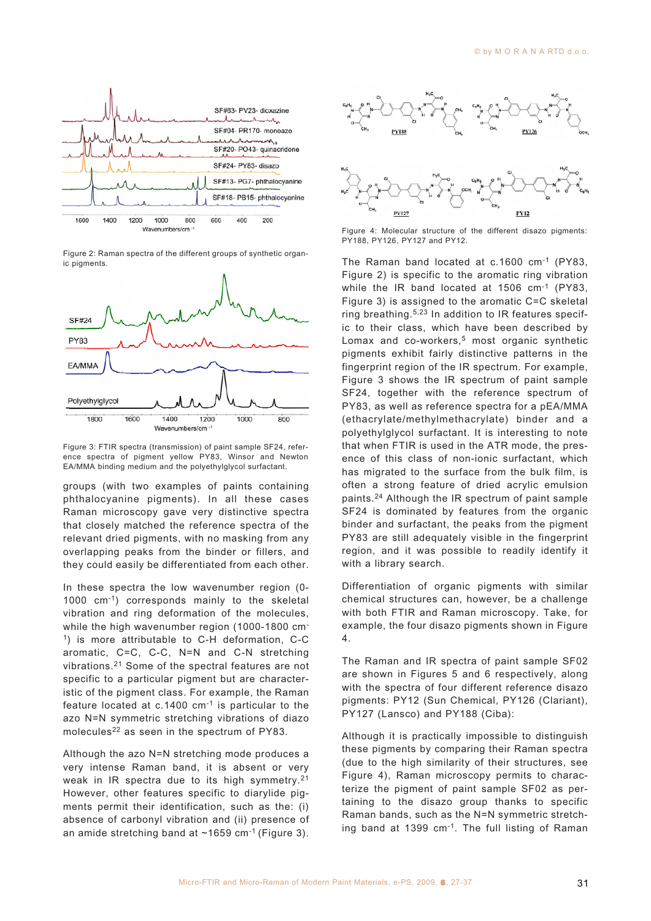

Figure 2: Raman spectra of the different groups of synthetic organic pigments.



Figure 3: FTIR spectra (transmission) of paint sample SF24, reference spectra of pigment yellow PY83, Winsor and Newton EA/MMA binding medium and the polyethylglycol surfactant.

groups (with two examples of paints containing phthalocyanine pigments). In all these cases Raman microscopy gave very distinctive spectra that closely matched the reference spectra of the relevant dried pigments, with no masking from any overlapping peaks from the binder or fillers, and they could easily be differentiated from each other.

In these spectra the low wavenumber region (0- 1000 cm-1) corresponds mainly to the skeletal vibration and ring deformation of the molecules, while the high wavenumber region (1000-1800 cm<sup>-</sup> 1) is more attributable to C-H deformation, C-C aromatic, C=C, C-C, N=N and C-N stretching vibrations.21 Some of the spectral features are not specific to a particular pigment but are characteristic of the pigment class. For example, the Raman feature located at c.1400 cm-1 is particular to the azo N=N symmetric stretching vibrations of diazo molecules<sup>22</sup> as seen in the spectrum of PY83.

Although the azo N=N stretching mode produces a very intense Raman band, it is absent or very weak in IR spectra due to its high symmetry.21 However, other features specific to diarylide pigments permit their identification, such as the: (i) absence of carbonyl vibration and (ii) presence of an amide stretching band at  $\sim$ 1659 cm<sup>-1</sup> (Figure 3).



Figure 4: Molecular structure of the different disazo pigments: PY188, PY126, PY127 and PY12.

The Raman band located at c.1600 cm-1 (PY83, Figure 2) is specific to the aromatic ring vibration while the IR band located at 1506 cm<sup>-1</sup> (PY83, Figure 3) is assigned to the aromatic C=C skeletal ring breathing.5,23 In addition to IR features specific to their class, which have been described by Lomax and co-workers,<sup>5</sup> most organic synthetic pigments exhibit fairly distinctive patterns in the fingerprint region of the IR spectrum. For example, Figure 3 shows the IR spectrum of paint sample SF24, together with the reference spectrum of PY83, as well as reference spectra for a pEA/MMA (ethacrylate/methylmethacrylate) binder and a polyethylglycol surfactant. It is interesting to note that when FTIR is used in the ATR mode, the presence of this class of non-ionic surfactant, which has migrated to the surface from the bulk film, is often a strong feature of dried acrylic emulsion paints.24 Although the IR spectrum of paint sample SF24 is dominated by features from the organic binder and surfactant, the peaks from the pigment PY83 are still adequately visible in the fingerprint region, and it was possible to readily identify it with a library search.

Differentiation of organic pigments with similar chemical structures can, however, be a challenge with both FTIR and Raman microscopy. Take, for example, the four disazo pigments shown in Figure 4.

The Raman and IR spectra of paint sample SF02 are shown in Figures 5 and 6 respectively, along with the spectra of four different reference disazo pigments: PY12 (Sun Chemical, PY126 (Clariant), PY127 (Lansco) and PY188 (Ciba):

Although it is practically impossible to distinguish these pigments by comparing their Raman spectra (due to the high similarity of their structures, see Figure 4), Raman microscopy permits to characterize the pigment of paint sample SF02 as pertaining to the disazo group thanks to specific Raman bands, such as the N=N symmetric stretching band at 1399 cm-1. The full listing of Raman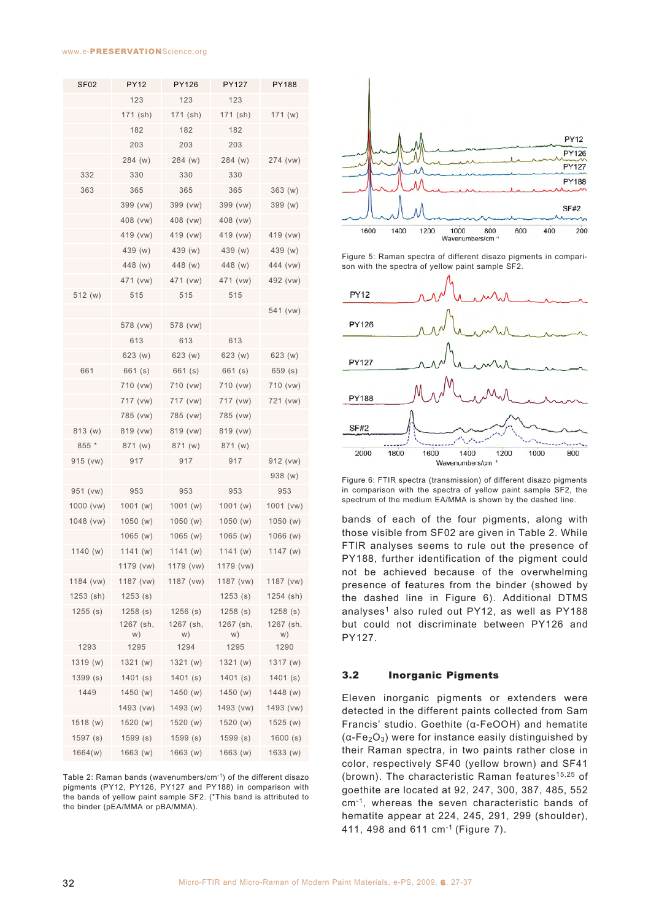#### www.e-PRESERVATIONScience.org

| <b>SF02</b> | <b>PY12</b>     | PY126           | <b>PY127</b>    | PY188           |
|-------------|-----------------|-----------------|-----------------|-----------------|
|             | 123             | 123             | 123             |                 |
|             | 171 (sh)        | 171 (sh)        | 171 (sh)        | 171(w)          |
|             | 182             | 182             | 182             |                 |
|             | 203             | 203             | 203             |                 |
|             | 284 (w)         | 284 (w)         | 284 (w)         | 274 (vw)        |
| 332         | 330             | 330             | 330             |                 |
| 363         | 365             | 365             | 365             | 363(w)          |
|             | 399 (vw)        | 399 (vw)        | 399 (vw)        | 399 (w)         |
|             | 408 (vw)        | 408 (vw)        | 408 (vw)        |                 |
|             | 419 (vw)        | 419 (vw)        | 419 (vw)        | 419 (vw)        |
|             | 439 (w)         | 439 (w)         | 439 (w)         | 439 (w)         |
|             | 448 (w)         | 448 (w)         | 448 (w)         | 444 (vw)        |
|             | 471 (vw)        | 471 (vw)        | 471 (vw)        | 492 (vw)        |
| 512 (w)     | 515             | 515             | 515             |                 |
|             |                 |                 |                 | 541 (vw)        |
|             | 578 (vw)        | 578 (vw)        |                 |                 |
|             | 613             | 613             | 613             |                 |
|             | 623 (w)         | 623 (w)         | 623 (w)         | 623 (w)         |
| 661         | 661 (s)         | 661 (s)         | 661 (s)         | 659(s)          |
|             | 710 (vw)        | 710 (vw)        | 710 (vw)        | 710 (vw)        |
|             | 717 (vw)        | 717 (vw)        | 717 (vw)        | 721 (vw)        |
|             | 785 (vw)        | 785 (vw)        | 785 (vw)        |                 |
| 813 (w)     | 819 (vw)        | 819 (vw)        | 819 (vw)        |                 |
| 855 *       | 871 (w)         | 871 (w)         | 871 (w)         |                 |
| 915 (vw)    | 917             | 917             | 917             | 912 (vw)        |
|             |                 |                 |                 | 938 (w)         |
| 951 (vw)    | 953             | 953             | 953             | 953             |
| 1000 (vw)   | 1001(w)         | 1001 (w)        | 1001(w)         | 1001 (vw)       |
| 1048 (vw)   | 1050(w)         | 1050(w)         | 1050(w)         | 1050(w)         |
|             | 1065(w)         | 1065(w)         | 1065(w)         | 1066 (w)        |
| 1140(w)     | 1141(w)         | 1141(w)         | 1141 (w)        | 1147(w)         |
|             | 1179 (vw)       | 1179 (vw)       | 1179 (vw)       |                 |
| 1184 (vw)   | 1187 (vw)       | 1187 (vw)       | 1187 (vw)       | 1187 (vw)       |
| 1253 (sh)   | 1253(s)         |                 | 1253(s)         | 1254 (sh)       |
| 1255(s)     | 1258(s)         | $1256$ (s)      | 1258(s)         | 1258(s)         |
|             | 1267 (sh,<br>w) | 1267 (sh,<br>W) | 1267 (sh,<br>w) | 1267 (sh,<br>w) |
| 1293        | 1295            | 1294            | 1295            | 1290            |
| 1319 (w)    | 1321 (w)        | 1321(w)         | 1321 (w)        | 1317 (w)        |
| 1399(s)     | 1401(s)         | 1401(s)         | 1401(s)         | 1401(s)         |
| 1449        | 1450(w)         | 1450 (w)        | 1450 (w)        | 1448 (w)        |
|             | 1493 (vw)       | 1493 (w)        | 1493 (vw)       | 1493 (vw)       |
| 1518 (w)    | 1520(w)         | 1520 (w)        | 1520(w)         | 1525(w)         |
| 1597(s)     | 1599(s)         | 1599(s)         | 1599(s)         | 1600(s)         |
| 1664(w)     | 1663 (w)        | 1663 (w)        | 1663 (w)        | 1633 (w)        |

Table 2: Raman bands (wavenumbers/cm-1) of the different disazo pigments (PY12, PY126, PY127 and PY188) in comparison with the bands of yellow paint sample SF2. (\*This band is attributed to the binder (pEA/MMA or pBA/MMA).



Figure 5: Raman spectra of different disazo pigments in comparison with the spectra of yellow paint sample SF2.



Figure 6: FTIR spectra (transmission) of different disazo pigments in comparison with the spectra of yellow paint sample SF2, the spectrum of the medium EA/MMA is shown by the dashed line.

bands of each of the four pigments, along with those visible from SF02 are given in Table 2. While FTIR analyses seems to rule out the presence of PY188, further identification of the pigment could not be achieved because of the overwhelming presence of features from the binder (showed by the dashed line in Figure 6). Additional DTMS analyses<sup>1</sup> also ruled out PY12, as well as PY188 but could not discriminate between PY126 and PY127.

# 3.2 Inorganic Pigments

Eleven inorganic pigments or extenders were detected in the different paints collected from Sam Francis' studio. Goethite (α-FeOOH) and hematite  $(\alpha$ -Fe<sub>2</sub>O<sub>3</sub>) were for instance easily distinguished by their Raman spectra, in two paints rather close in color, respectively SF40 (yellow brown) and SF41 (brown). The characteristic Raman features<sup>15,25</sup> of goethite are located at 92, 247, 300, 387, 485, 552 cm-1, whereas the seven characteristic bands of hematite appear at 224, 245, 291, 299 (shoulder), 411, 498 and 611 cm-1 (Figure 7).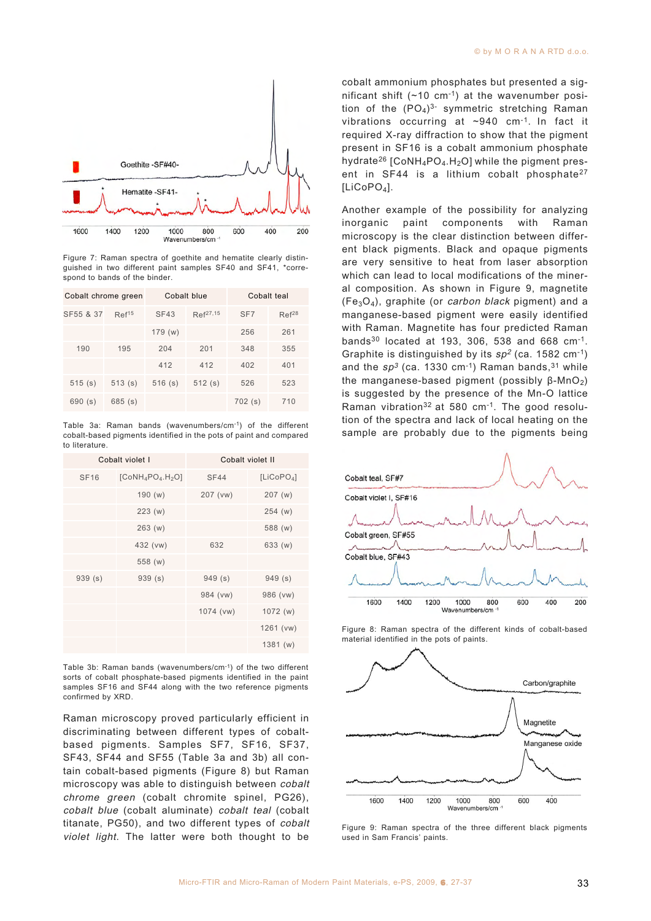

Figure 7: Raman spectra of goethite and hematite clearly distinguished in two different paint samples SF40 and SF41, \*correspond to bands of the binder.

| Cobalt chrome green |                   | Cobalt blue |               | Cobalt teal     |                   |
|---------------------|-------------------|-------------|---------------|-----------------|-------------------|
| SF55 & 37           | Ref <sup>15</sup> | <b>SF43</b> | $Ref^{27,15}$ | SF <sub>7</sub> | Ref <sup>28</sup> |
|                     |                   | 179(w)      |               | 256             | 261               |
| 190                 | 195               | 204         | 201           | 348             | 355               |
|                     |                   | 412         | 412           | 402             | 401               |
| 515(s)              | 513(s)            | 516(s)      | 512(s)        | 526             | 523               |
| 690(s)              | 685(s)            |             |               | 702(s)          | 710               |

Table 3a: Raman bands (wavenumbers/cm-1) of the different cobalt-based pigments identified in the pots of paint and compared to literature.

| Cobalt violet I |                     | Cobalt violet II |                        |  |
|-----------------|---------------------|------------------|------------------------|--|
| <b>SF16</b>     | $[CoNH_4PO_4.H_2O]$ | <b>SF44</b>      | [LICoPO <sub>4</sub> ] |  |
|                 | 190(w)              | 207 (vw)         | 207(w)                 |  |
|                 | 223(w)              |                  | 254(w)                 |  |
|                 | 263(w)              |                  | 588 (w)                |  |
|                 | 432 (vw)            | 632              | 633 (w)                |  |
|                 | 558 (w)             |                  |                        |  |
| 939(s)          | 939(s)              | 949(s)           | 949(s)                 |  |
|                 |                     | 984 (vw)         | 986 (vw)               |  |
|                 |                     | 1074 (vw)        | 1072(w)                |  |
|                 |                     |                  | 1261 (vw)              |  |
|                 |                     |                  | 1381(w)                |  |

Table 3b: Raman bands (wavenumbers/cm-1) of the two different sorts of cobalt phosphate-based pigments identified in the paint samples SF16 and SF44 along with the two reference pigments confirmed by XRD.

Raman microscopy proved particularly efficient in discriminating between different types of cobaltbased pigments. Samples SF7, SF16, SF37, SF43, SF44 and SF55 (Table 3a and 3b) all contain cobalt-based pigments (Figure 8) but Raman microscopy was able to distinguish between cobalt chrome green (cobalt chromite spinel, PG26), cobalt blue (cobalt aluminate) cobalt teal (cobalt titanate, PG50), and two different types of cobalt violet light. The latter were both thought to be

cobalt ammonium phosphates but presented a significant shift  $(\sim 10 \text{ cm}^{-1})$  at the wavenumber position of the  $(PO<sub>4</sub>)<sup>3</sup>$  symmetric stretching Raman vibrations occurring at ~940 cm-1. In fact it required X-ray diffraction to show that the pigment present in SF16 is a cobalt ammonium phosphate hydrate<sup>26</sup> [CoNH<sub>4</sub>PO<sub>4</sub>.H<sub>2</sub>O] while the pigment present in SF44 is a lithium cobalt phosphate<sup>27</sup> [LiCoPO<sub>4</sub>].

Another example of the possibility for analyzing inorganic paint components with Raman microscopy is the clear distinction between different black pigments. Black and opaque pigments are very sensitive to heat from laser absorption which can lead to local modifications of the mineral composition. As shown in Figure 9, magnetite  $(Fe<sub>3</sub>O<sub>4</sub>)$ , graphite (or *carbon black* pigment) and a manganese-based pigment were easily identified with Raman. Magnetite has four predicted Raman bands30 located at 193, 306, 538 and 668 cm-1. Graphite is distinguished by its  $sp^2$  (ca. 1582 cm<sup>-1</sup>) and the  $sp^3$  (ca. 1330 cm<sup>-1</sup>) Raman bands, <sup>31</sup> while the manganese-based pigment (possibly  $β$ -MnO<sub>2</sub>) is suggested by the presence of the Mn-O lattice Raman vibration<sup>32</sup> at 580 cm<sup>-1</sup>. The good resolution of the spectra and lack of local heating on the sample are probably due to the pigments being



Figure 8: Raman spectra of the different kinds of cobalt-based material identified in the pots of paints.



Figure 9: Raman spectra of the three different black pigments used in Sam Francis' paints.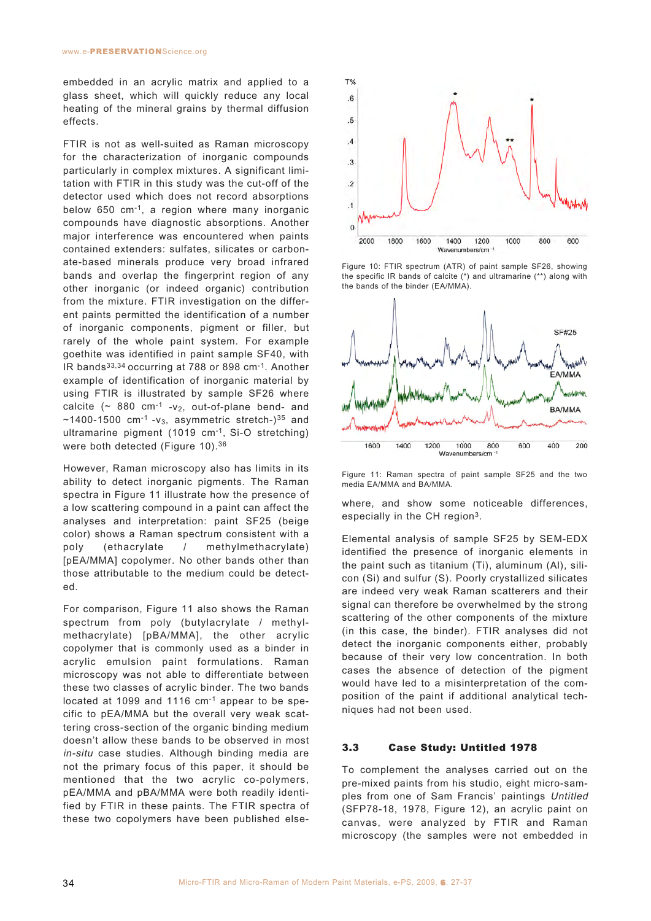embedded in an acrylic matrix and applied to a glass sheet, which will quickly reduce any local heating of the mineral grains by thermal diffusion effects.

FTIR is not as well-suited as Raman microscopy for the characterization of inorganic compounds particularly in complex mixtures. A significant limitation with FTIR in this study was the cut-off of the detector used which does not record absorptions below 650 cm-1, a region where many inorganic compounds have diagnostic absorptions. Another major interference was encountered when paints contained extenders: sulfates, silicates or carbonate-based minerals produce very broad infrared bands and overlap the fingerprint region of any other inorganic (or indeed organic) contribution from the mixture. FTIR investigation on the different paints permitted the identification of a number of inorganic components, pigment or filler, but rarely of the whole paint system. For example goethite was identified in paint sample SF40, with IR bands33,34 occurring at 788 or 898 cm-1. Another example of identification of inorganic material by using FTIR is illustrated by sample SF26 where calcite ( $\sim$  880 cm<sup>-1</sup> - v<sub>2</sub>, out-of-plane bend- and  $\sim$ 1400-1500 cm<sup>-1</sup> -v<sub>3</sub>, asymmetric stretch-)<sup>35</sup> and ultramarine pigment (1019 cm-1, Si-O stretching) were both detected (Figure 10).<sup>36</sup>

However, Raman microscopy also has limits in its ability to detect inorganic pigments. The Raman spectra in Figure 11 illustrate how the presence of a low scattering compound in a paint can affect the analyses and interpretation: paint SF25 (beige color) shows a Raman spectrum consistent with a poly (ethacrylate / methylmethacrylate) [pEA/MMA] copolymer. No other bands other than those attributable to the medium could be detected.

For comparison, Figure 11 also shows the Raman spectrum from poly (butylacrylate / methylmethacrylate) [pBA/MMA], the other acrylic copolymer that is commonly used as a binder in acrylic emulsion paint formulations. Raman microscopy was not able to differentiate between these two classes of acrylic binder. The two bands located at 1099 and 1116 cm-1 appear to be specific to pEA/MMA but the overall very weak scattering cross-section of the organic binding medium doesn't allow these bands to be observed in most in-situ case studies. Although binding media are not the primary focus of this paper, it should be mentioned that the two acrylic co-polymers, pEA/MMA and pBA/MMA were both readily identified by FTIR in these paints. The FTIR spectra of these two copolymers have been published else-



Figure 10: FTIR spectrum (ATR) of paint sample SF26, showing the specific IR bands of calcite (\*) and ultramarine (\*\*) along with the bands of the binder (EA/MMA).



Figure 11: Raman spectra of paint sample SF25 and the two media EA/MMA and BA/MMA.

where, and show some noticeable differences, especially in the CH region3.

Elemental analysis of sample SF25 by SEM-EDX identified the presence of inorganic elements in the paint such as titanium (Ti), aluminum (Al), silicon (Si) and sulfur (S). Poorly crystallized silicates are indeed very weak Raman scatterers and their signal can therefore be overwhelmed by the strong scattering of the other components of the mixture (in this case, the binder). FTIR analyses did not detect the inorganic components either, probably because of their very low concentration. In both cases the absence of detection of the pigment would have led to a misinterpretation of the composition of the paint if additional analytical techniques had not been used.

### 3.3 Case Study: Untitled 1978

To complement the analyses carried out on the pre-mixed paints from his studio, eight micro-samples from one of Sam Francis' paintings Untitled (SFP78-18, 1978, Figure 12), an acrylic paint on canvas, were analyzed by FTIR and Raman microscopy (the samples were not embedded in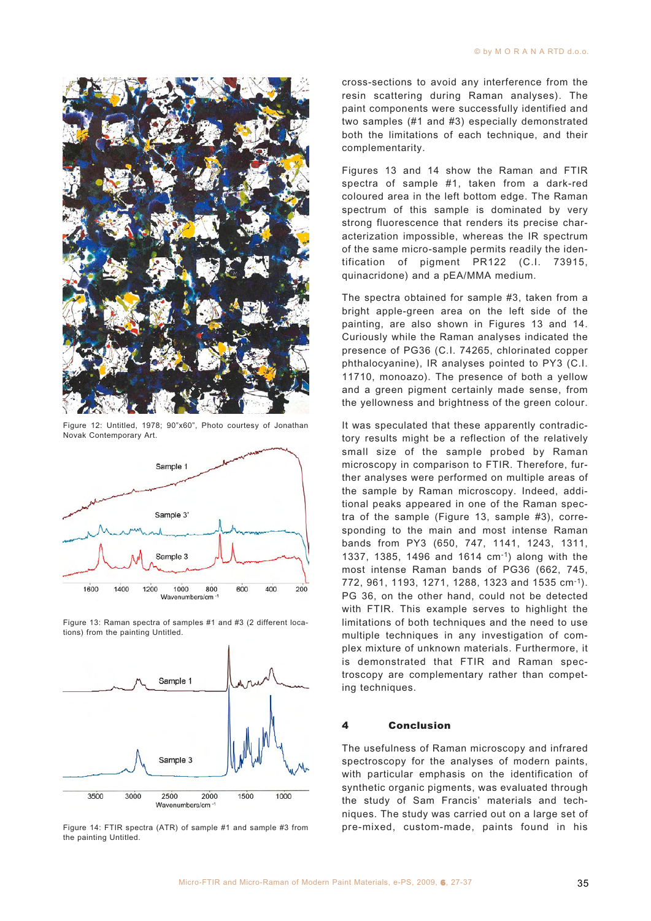

Figure 12: Untitled, 1978; 90"x60", Photo courtesy of Jonathan Novak Contemporary Art.



Figure 13: Raman spectra of samples #1 and #3 (2 different locations) from the painting Untitled.



Figure 14: FTIR spectra (ATR) of sample #1 and sample #3 from the painting Untitled.

cross-sections to avoid any interference from the resin scattering during Raman analyses). The paint components were successfully identified and two samples (#1 and #3) especially demonstrated both the limitations of each technique, and their complementarity.

Figures 13 and 14 show the Raman and FTIR spectra of sample #1, taken from a dark-red coloured area in the left bottom edge. The Raman spectrum of this sample is dominated by very strong fluorescence that renders its precise characterization impossible, whereas the IR spectrum of the same micro-sample permits readily the identification of pigment PR122 (C.I. 73915, quinacridone) and a pEA/MMA medium.

The spectra obtained for sample #3, taken from a bright apple-green area on the left side of the painting, are also shown in Figures 13 and 14. Curiously while the Raman analyses indicated the presence of PG36 (C.I. 74265, chlorinated copper phthalocyanine), IR analyses pointed to PY3 (C.I. 11710, monoazo). The presence of both a yellow and a green pigment certainly made sense, from the yellowness and brightness of the green colour.

It was speculated that these apparently contradictory results might be a reflection of the relatively small size of the sample probed by Raman microscopy in comparison to FTIR. Therefore, further analyses were performed on multiple areas of the sample by Raman microscopy. Indeed, additional peaks appeared in one of the Raman spectra of the sample (Figure 13, sample #3), corresponding to the main and most intense Raman bands from PY3 (650, 747, 1141, 1243, 1311, 1337, 1385, 1496 and 1614 cm-1) along with the most intense Raman bands of PG36 (662, 745, 772, 961, 1193, 1271, 1288, 1323 and 1535 cm-1). PG 36, on the other hand, could not be detected with FTIR. This example serves to highlight the limitations of both techniques and the need to use multiple techniques in any investigation of complex mixture of unknown materials. Furthermore, it is demonstrated that FTIR and Raman spectroscopy are complementary rather than competing techniques.

#### 4 Conclusion

The usefulness of Raman microscopy and infrared spectroscopy for the analyses of modern paints, with particular emphasis on the identification of synthetic organic pigments, was evaluated through the study of Sam Francis' materials and techniques. The study was carried out on a large set of pre-mixed, custom-made, paints found in his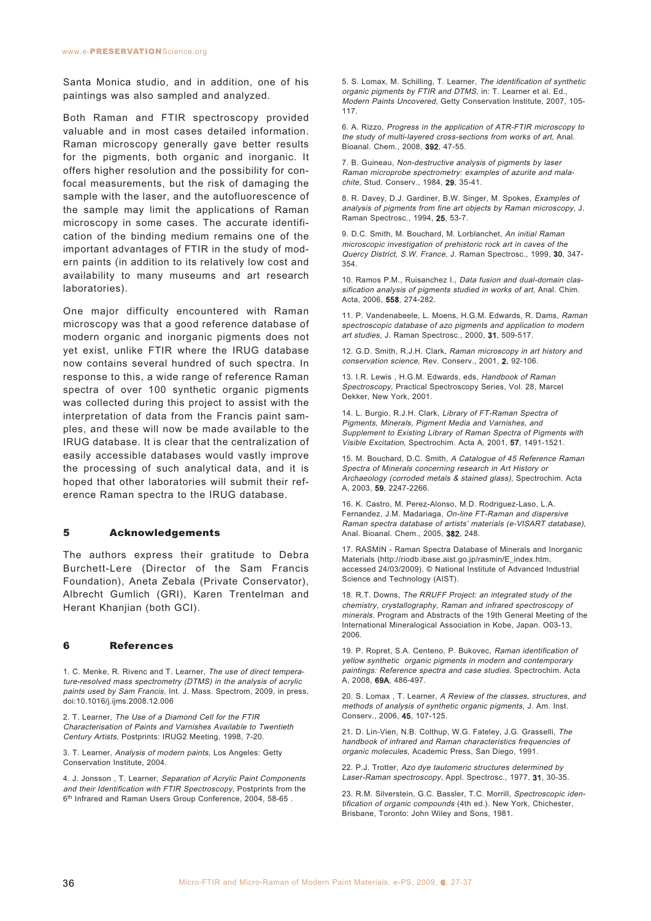Santa Monica studio, and in addition, one of his paintings was also sampled and analyzed.

Both Raman and FTIR spectroscopy provided valuable and in most cases detailed information. Raman microscopy generally gave better results for the pigments, both organic and inorganic. It offers higher resolution and the possibility for confocal measurements, but the risk of damaging the sample with the laser, and the autofluorescence of the sample may limit the applications of Raman microscopy in some cases. The accurate identification of the binding medium remains one of the important advantages of FTIR in the study of modern paints (in addition to its relatively low cost and availability to many museums and art research laboratories).

One major difficulty encountered with Raman microscopy was that a good reference database of modern organic and inorganic pigments does not yet exist, unlike FTIR where the IRUG database now contains several hundred of such spectra. In response to this, a wide range of reference Raman spectra of over 100 synthetic organic pigments was collected during this project to assist with the interpretation of data from the Francis paint samples, and these will now be made available to the IRUG database. It is clear that the centralization of easily accessible databases would vastly improve the processing of such analytical data, and it is hoped that other laboratories will submit their reference Raman spectra to the IRUG database.

### 5 Acknowledgements

The authors express their gratitude to Debra Burchett-Lere (Director of the Sam Francis Foundation), Aneta Zebala (Private Conservator), Albrecht Gumlich (GRI), Karen Trentelman and Herant Khanjian (both GCI).

### 6 References

1. C. Menke, R. Rivenc and T. Learner, The use of direct temperature-resolved mass spectrometry (DTMS) in the analysis of acrylic paints used by Sam Francis, Int. J. Mass. Spectrom, 2009, in press, doi:10.1016/j.ijms.2008.12.006

2. T. Learner, The Use of a Diamond Cell for the FTIR Characterisation of Paints and Varnishes Available to Twentieth Century Artists, Postprints: IRUG2 Meeting, 1998, 7-20.

3. T. Learner, Analysis of modern paints, Los Angeles: Getty Conservation Institute, 2004.

4. J. Jonsson , T. Learner, Separation of Acrylic Paint Components and their Identification with FTIR Spectroscopy, Postprints from the 6<sup>th</sup> Infrared and Raman Users Group Conference, 2004, 58-65.

5. S. Lomax, M. Schilling, T. Learner, The identification of synthetic organic pigments by FTIR and DTMS, in: T. Learner et al. Ed., Modern Paints Uncovered, Getty Conservation Institute, 2007, 105- 117.

6. A. Rizzo, Progress in the application of ATR-FTIR microscopy to the study of multi-layered cross-sections from works of art, Anal. Bioanal. Chem., 2008, 392, 47-55.

7. B. Guineau, Non-destructive analysis of pigments by laser Raman microprobe spectrometry: examples of azurite and malachite, Stud. Conserv., 1984, 29, 35-41.

8. R. Davey, D.J. Gardiner, B.W. Singer, M. Spokes, Examples of analysis of pigments from fine art objects by Raman microscopy, J. Raman Spectrosc., 1994, 25, 53-7.

9. D.C. Smith, M. Bouchard, M. Lorblanchet, An initial Raman microscopic investigation of prehistoric rock art in caves of the Quercy District, S.W. France, J. Raman Spectrosc., 1999, 30, 347- 354.

10. Ramos P.M., Ruisanchez I., Data fusion and dual-domain classification analysis of pigments studied in works of art, Anal. Chim. Acta, 2006, 558, 274-282.

11. P. Vandenabeele, L. Moens, H.G.M. Edwards, R. Dams, Raman spectroscopic database of azo pigments and application to modern art studies, J. Raman Spectrosc., 2000, 31, 509-517.

12. G.D. Smith, R.J.H. Clark, Raman microscopy in art history and conservation science, Rev. Conserv., 2001, 2, 92-106.

13. I.R. Lewis, H.G.M. Edwards, eds, Handbook of Raman Spectroscopy, Practical Spectroscopy Series, Vol. 28, Marcel Dekker, New York, 2001.

14. L. Burgio, R.J.H. Clark, Library of FT-Raman Spectra of Pigments, Minerals, Pigment Media and Varnishes, and Supplement to Existing Library of Raman Spectra of Pigments with Visible Excitation, Spectrochim. Acta A, 2001, 57, 1491-1521.

15. M. Bouchard, D.C. Smith, A Catalogue of 45 Reference Raman Spectra of Minerals concerning research in Art History or Archaeology (corroded metals & stained glass), Spectrochim. Acta A, 2003, 59, 2247-2266.

16. K. Castro, M. Perez-Alonso, M.D. Rodriguez-Laso, L.A. Fernandez, J.M. Madariaga, On-line FT-Raman and dispersive Raman spectra database of artists' materials (e-VISART database), Anal. Bioanal. Chem., 2005, 382, 248.

17. RASMIN - Raman Spectra Database of Minerals and Inorganic Materials (http://riodb.ibase.aist.go.jp/rasmin/E\_index.htm, accessed 24/03/2009). © National Institute of Advanced Industrial Science and Technology (AIST).

18. R.T. Downs, The RRUFF Project: an integrated study of the chemistry, crystallography, Raman and infrared spectroscopy of minerals. Program and Abstracts of the 19th General Meeting of the International Mineralogical Association in Kobe, Japan. O03-13, 2006.

19. P. Ropret, S.A. Centeno, P. Bukovec, Raman identification of yellow synthetic organic pigments in modern and contemporary paintings: Reference spectra and case studies. Spectrochim. Acta A, 2008, 69A, 486-497.

20. S. Lomax , T. Learner, A Review of the classes, structures, and methods of analysis of synthetic organic pigments, J. Am. Inst. Conserv., 2006, 45, 107-125.

21. D. Lin-Vien, N.B. Colthup, W.G. Fateley, J.G. Grasselli, The handbook of infrared and Raman characteristics frequencies of organic molecules, Academic Press, San Diego, 1991.

22. P.J. Trotter, Azo dye tautomeric structures determined by Laser-Raman spectroscopy, Appl. Spectrosc., 1977, 31, 30-35.

23. R.M. Silverstein, G.C. Bassler, T.C. Morrill, Spectroscopic identification of organic compounds (4th ed.). New York, Chichester, Brisbane, Toronto: John Wiley and Sons, 1981.